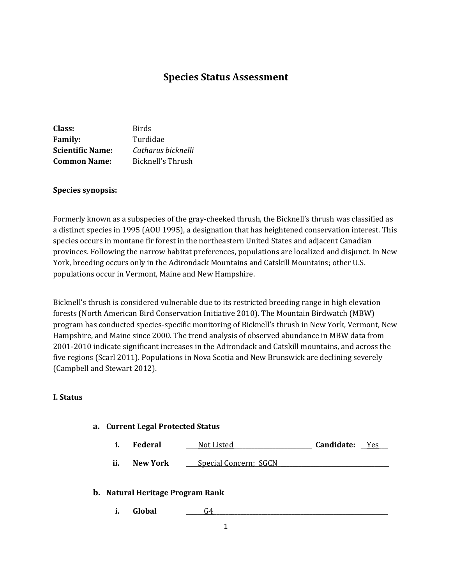# **Species Status Assessment**

| Class:                  | <b>Birds</b>       |
|-------------------------|--------------------|
| <b>Family:</b>          | Turdidae           |
| <b>Scientific Name:</b> | Catharus bicknelli |
| <b>Common Name:</b>     | Bicknell's Thrush  |

### **Species synopsis:**

Formerly known as a subspecies of the gray-cheeked thrush, the Bicknell's thrush was classified as a distinct species in 1995 (AOU 1995), a designation that has heightened conservation interest. This species occurs in montane fir forest in the northeastern United States and adjacent Canadian provinces. Following the narrow habitat preferences, populations are localized and disjunct. In New York, breeding occurs only in the Adirondack Mountains and Catskill Mountains; other U.S. populations occur in Vermont, Maine and New Hampshire.

Bicknell's thrush is considered vulnerable due to its restricted breeding range in high elevation forests (North American Bird Conservation Initiative 2010). The Mountain Birdwatch (MBW) program has conducted species-specific monitoring of Bicknell's thrush in New York, Vermont, New Hampshire, and Maine since 2000. The trend analysis of observed abundance in MBW data from 2001-2010 indicate significant increases in the Adirondack and Catskill mountains, and across the five regions (Scarl 2011). Populations in Nova Scotia and New Brunswick are declining severely (Campbell and Stewart 2012).

#### **I. Status**

#### **a. Current Legal Protected Status**

|  | <b>Federal</b> | Not Listed | Candidate: |  |
|--|----------------|------------|------------|--|
|--|----------------|------------|------------|--|

**ii. New York \_\_\_** Special Concern; SGCN

# **b. Natural Heritage Program Rank**

**i. Global \_\_\_\_\_\_**G4**\_\_\_\_\_\_\_\_\_\_\_\_\_\_\_\_\_\_\_\_\_\_\_\_\_\_\_\_\_\_\_\_\_\_\_\_\_\_\_\_\_\_\_\_\_\_\_\_\_\_\_\_\_\_\_\_\_\_**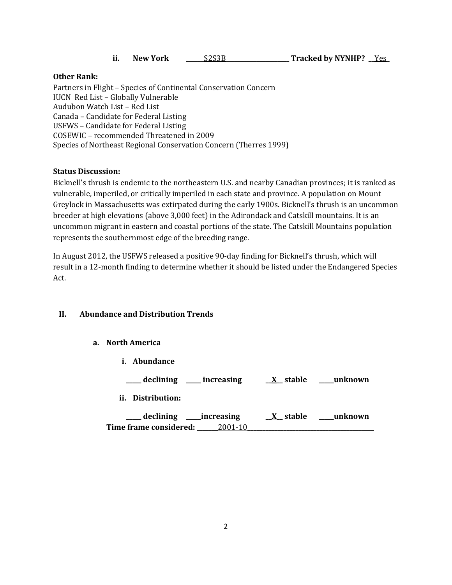|  | <b>New York</b> | S <sub>2</sub> S <sub>3</sub> B | <b>Tracked by NYNHP?</b> |  |
|--|-----------------|---------------------------------|--------------------------|--|
|--|-----------------|---------------------------------|--------------------------|--|

# **Other Rank:**

Partners in Flight – Species of Continental Conservation Concern IUCN Red List – Globally Vulnerable Audubon Watch List – Red List Canada – Candidate for Federal Listing USFWS – Candidate for Federal Listing COSEWIC – recommended Threatened in 2009 Species of Northeast Regional Conservation Concern (Therres 1999)

# **Status Discussion:**

Bicknell's thrush is endemic to the northeastern U.S. and nearby Canadian provinces; it is ranked as vulnerable, imperiled, or critically imperiled in each state and province. A population on Mount Greylock in Massachusetts was extirpated during the early 1900s. Bicknell's thrush is an uncommon breeder at high elevations (above 3,000 feet) in the Adirondack and Catskill mountains. It is an uncommon migrant in eastern and coastal portions of the state. The Catskill Mountains population represents the southernmost edge of the breeding range.

In August 2012, the USFWS released a positive 90-day finding for Bicknell's thrush, which will result in a 12-month finding to determine whether it should be listed under the Endangered Species Act.

# **II. Abundance and Distribution Trends**

#### **a. North America**

| i. Abundance                                                  |                        |         |
|---------------------------------------------------------------|------------------------|---------|
| __ declining ____ increasing                                  | $X$ stable             | unknown |
| ii. Distribution:                                             |                        |         |
| declining ____increasing<br>Time frame considered:<br>2001-10 | $\underline{X}$ stable | unknown |
|                                                               |                        |         |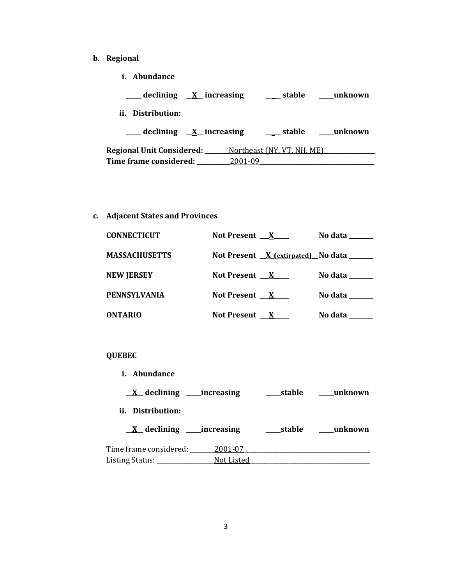- **b. Regional**
	- **i. Abundance**

| $\frac{1}{2}$ declining $\frac{X}{X}$ increasing | stable                     | unknown |
|--------------------------------------------------|----------------------------|---------|
| ii. Distribution:                                |                            |         |
| declining $X$ increasing                         | stable                     | unknown |
|                                                  |                            |         |
| <b>Regional Unit Considered:</b>                 | Northeast (NY, VT, NH, ME) |         |

**c. Adjacent States and Provinces**

| <b>CONNECTICUT</b>   | Not Present $X$                             | No data $\_\_\_\_\_\_\_\_\_\_\_\$                                        |
|----------------------|---------------------------------------------|--------------------------------------------------------------------------|
| <b>MASSACHUSETTS</b> | Not Present $X$ (extirpated) No data ______ |                                                                          |
| <b>NEW JERSEY</b>    | Not Present $X$                             | No data $\_\_\_\_\_\_\_\_\_\_\_\_\_\_\_\_\_\_\_\_\_\_\_\_\_\_\_\_\_\_\_$ |
| <b>PENNSYLVANIA</b>  | Not Present $X$                             | No data                                                                  |
| <b>ONTARIO</b>       | Not Present X                               | No data                                                                  |

# **QUEBEC**

| Abundance<br>i.                             |            |            |          |
|---------------------------------------------|------------|------------|----------|
| $\underline{X}$ declining ______ increasing |            | ____stable | _unknown |
| ii. Distribution:                           |            |            |          |
| $\underline{X}$ declining _____increasing   |            | stable     | unknown  |
| Time frame considered:                      | 2001-07    |            |          |
| Listing Status: _                           | Not Listed |            |          |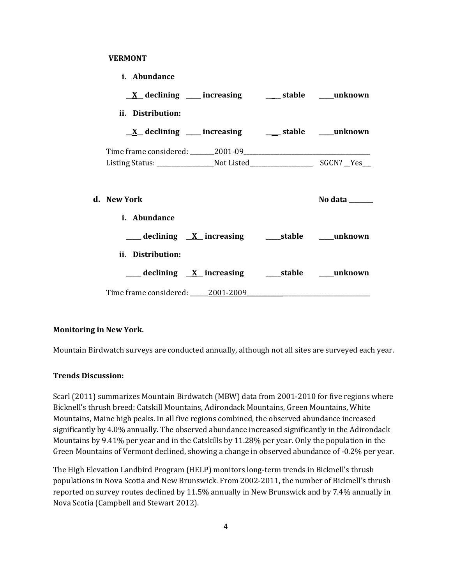### **VERMONT**

| i. Abundance                                                                     |                |
|----------------------------------------------------------------------------------|----------------|
| $\underline{X}$ declining ___ increasing ___ stable ___ unknown                  |                |
| ii. Distribution:                                                                |                |
| $\underline{X}$ declining ____ increasing _____ stable ____ unknown              |                |
|                                                                                  |                |
|                                                                                  |                |
| d. New York<br>i. Abundance                                                      | No data ______ |
| ____ declining <u>X</u> _increasing _____stable ____unknown<br>ii. Distribution: |                |
| ___ declining <u>X</u> _increasing _____stable ____unknown                       |                |
| Time frame considered: 2001-2009                                                 |                |

# **Monitoring in New York.**

Mountain Birdwatch surveys are conducted annually, although not all sites are surveyed each year.

#### **Trends Discussion:**

Scarl (2011) summarizes Mountain Birdwatch (MBW) data from 2001-2010 for five regions where Bicknell's thrush breed: Catskill Mountains, Adirondack Mountains, Green Mountains, White Mountains, Maine high peaks. In all five regions combined, the observed abundance increased significantly by 4.0% annually. The observed abundance increased significantly in the Adirondack Mountains by 9.41% per year and in the Catskills by 11.28% per year. Only the population in the Green Mountains of Vermont declined, showing a change in observed abundance of -0.2% per year.

The High Elevation Landbird Program (HELP) monitors long-term trends in Bicknell's thrush populations in Nova Scotia and New Brunswick. From 2002-2011, the number of Bicknell's thrush reported on survey routes declined by 11.5% annually in New Brunswick and by 7.4% annually in Nova Scotia (Campbell and Stewart 2012).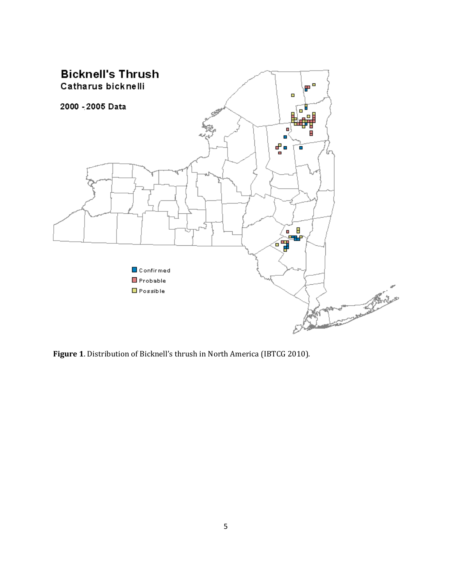

**Figure 1**. Distribution of Bicknell's thrush in North America (IBTCG 2010).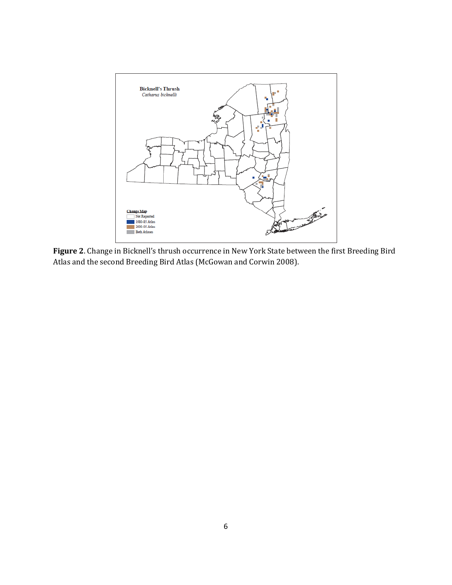

**Figure 2**. Change in Bicknell's thrush occurrence in New York State between the first Breeding Bird Atlas and the second Breeding Bird Atlas (McGowan and Corwin 2008).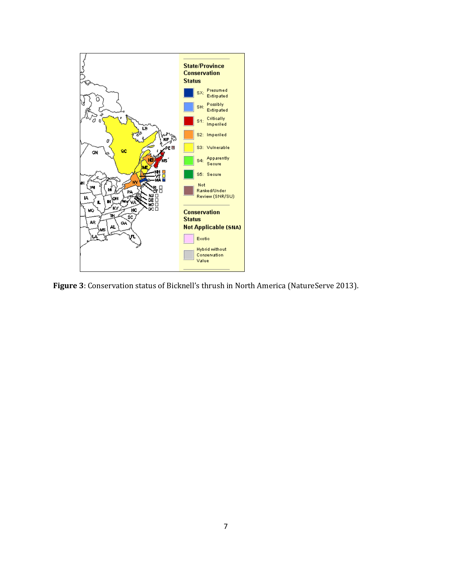![](_page_6_Figure_0.jpeg)

**Figure 3**: Conservation status of Bicknell's thrush in North America (NatureServe 2013).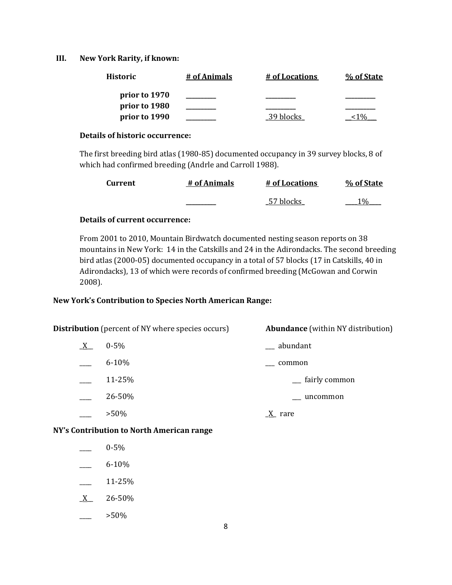### **III. New York Rarity, if known:**

| <b>Historic</b> | # of Animals | # of Locations | % of State |
|-----------------|--------------|----------------|------------|
| prior to 1970   |              |                |            |
| prior to 1980   |              |                |            |
| prior to 1990   |              | 39 blocks      |            |

### **Details of historic occurrence:**

The first breeding bird atlas (1980-85) documented occupancy in 39 survey blocks, 8 of which had confirmed breeding (Andrle and Carroll 1988).

| <b>Current</b> | # of Animals | # of Locations | % of State |
|----------------|--------------|----------------|------------|
|                |              | 57 blocks      | 1 $0/2$    |

# **Details of current occurrence:**

From 2001 to 2010, Mountain Birdwatch documented nesting season reports on 38 mountains in New York: 14 in the Catskills and 24 in the Adirondacks. The second breeding bird atlas (2000-05) documented occupancy in a total of 57 blocks (17 in Catskills, 40 in Adirondacks), 13 of which were records of confirmed breeding (McGowan and Corwin 2008).

# **New York's Contribution to Species North American Range:**

| <b>Distribution</b> (percent of NY where species occurs) |           | <b>Abundance</b> (within NY distribution) |
|----------------------------------------------------------|-----------|-------------------------------------------|
| $\underline{X}$                                          | $0 - 5\%$ | abundant                                  |
|                                                          | $6 - 10%$ | common                                    |
|                                                          | 11-25%    | fairly common                             |
|                                                          | 26-50%    | uncommon                                  |
|                                                          | $>50\%$   | $\underline{X}$ rare                      |
|                                                          |           |                                           |

# **NY's Contribution to North American range**

- \_\_\_\_ 0-5%
- 6-10%
- $\frac{11-25}{6}$
- $X$  26-50%
- $>50\%$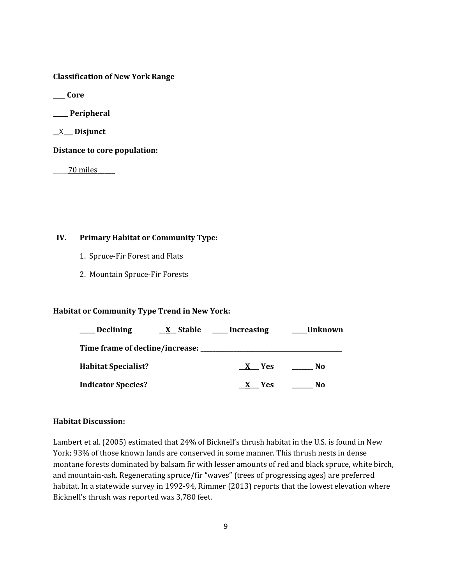**Classification of New York Range**

**\_\_\_\_ Core**

**\_\_\_\_\_ Peripheral**

**\_\_**X**\_\_\_ Disjunct**

**Distance to core population:**

\_\_\_\_\_70 miles**\_\_\_\_\_**

# **IV. Primary Habitat or Community Type:**

- 1. Spruce-Fir Forest and Flats
- 2. Mountain Spruce-Fir Forests

# **Habitat or Community Type Trend in New York:**

| <b>Declining</b>                     | $X$ Stable _____ Increasing | Unknown |
|--------------------------------------|-----------------------------|---------|
| Time frame of decline/increase: ____ |                             |         |
| <b>Habitat Specialist?</b>           | X Yes                       | No.     |
| <b>Indicator Species?</b>            | <b>Yes</b>                  | No      |

# **Habitat Discussion:**

Lambert et al. (2005) estimated that 24% of Bicknell's thrush habitat in the U.S. is found in New York; 93% of those known lands are conserved in some manner. This thrush nests in dense montane forests dominated by balsam fir with lesser amounts of red and black spruce, white birch, and mountain-ash. Regenerating spruce/fir "waves" (trees of progressing ages) are preferred habitat. In a statewide survey in 1992-94, Rimmer (2013) reports that the lowest elevation where Bicknell's thrush was reported was 3,780 feet.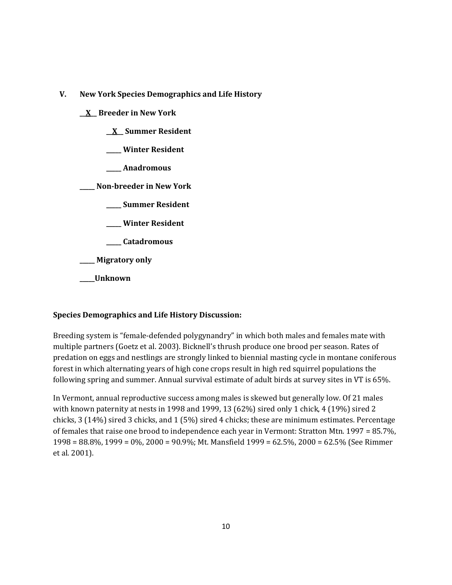- **V. New York Species Demographics and Life History**
	- **\_\_X\_\_ Breeder in New York**
		- **\_\_X\_\_ Summer Resident**
		- **\_\_\_\_\_ Winter Resident**
		- **\_\_\_\_\_ Anadromous**

**\_\_\_\_\_ Non-breeder in New York**

- **\_\_\_\_\_ Summer Resident**
- **\_\_\_\_\_ Winter Resident**
- **\_\_\_\_\_ Catadromous**

**\_\_\_\_\_ Migratory only**

**\_\_\_\_\_Unknown**

# **Species Demographics and Life History Discussion:**

Breeding system is "female-defended polygynandry" in which both males and females mate with multiple partners (Goetz et al. 2003). Bicknell's thrush produce one brood per season. Rates of predation on eggs and nestlings are strongly linked to biennial masting cycle in montane coniferous forest in which alternating years of high cone crops result in high red squirrel populations the following spring and summer. Annual survival estimate of adult birds at survey sites in VT is 65%.

In Vermont, annual reproductive success among males is skewed but generally low. Of 21 males with known paternity at nests in 1998 and 1999, 13 (62%) sired only 1 chick, 4 (19%) sired 2 chicks, 3 (14%) sired 3 chicks, and 1 (5%) sired 4 chicks; these are minimum estimates. Percentage of females that raise one brood to independence each year in Vermont: Stratton Mtn. 1997 = 85.7%, 1998 = 88.8%, 1999 = 0%, 2000 = 90.9%; Mt. Mansfield 1999 = 62.5%, 2000 = 62.5% (See Rimmer et al. 2001).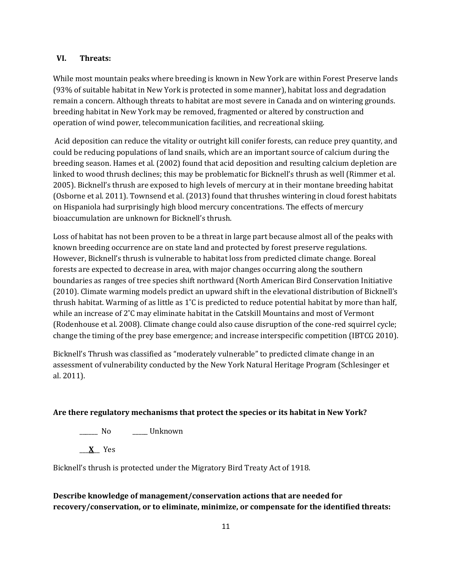### **VI. Threats:**

While most mountain peaks where breeding is known in New York are within Forest Preserve lands (93% of suitable habitat in New York is protected in some manner), habitat loss and degradation remain a concern. Although threats to habitat are most severe in Canada and on wintering grounds. breeding habitat in New York may be removed, fragmented or altered by construction and operation of wind power, telecommunication facilities, and recreational skiing.

Acid deposition can reduce the vitality or outright kill conifer forests, can reduce prey quantity, and could be reducing populations of land snails, which are an important source of calcium during the breeding season. Hames et al. (2002) found that acid deposition and resulting calcium depletion are linked to wood thrush declines; this may be problematic for Bicknell's thrush as well (Rimmer et al. 2005). Bicknell's thrush are exposed to high levels of mercury at in their montane breeding habitat (Osborne et al. 2011). Townsend et al. (2013) found that thrushes wintering in cloud forest habitats on Hispaniola had surprisingly high blood mercury concentrations. The effects of mercury bioaccumulation are unknown for Bicknell's thrush.

Loss of habitat has not been proven to be a threat in large part because almost all of the peaks with known breeding occurrence are on state land and protected by forest preserve regulations. However, Bicknell's thrush is vulnerable to habitat loss from predicted climate change. Boreal forests are expected to decrease in area, with major changes occurring along the southern boundaries as ranges of tree species shift northward (North American Bird Conservation Initiative (2010). Climate warming models predict an upward shift in the elevational distribution of Bicknell's thrush habitat. Warming of as little as 1˚C is predicted to reduce potential habitat by more than half, while an increase of 2˚C may eliminate habitat in the Catskill Mountains and most of Vermont (Rodenhouse et al. 2008). Climate change could also cause disruption of the cone-red squirrel cycle; change the timing of the prey base emergence; and increase interspecific competition (IBTCG 2010).

Bicknell's Thrush was classified as "moderately vulnerable" to predicted climate change in an assessment of vulnerability conducted by the New York Natural Heritage Program (Schlesinger et al. 2011).

# **Are there regulatory mechanisms that protect the species or its habitat in New York?**

\_\_\_\_\_\_ No \_\_\_\_\_ Unknown

\_\_\_**X**\_\_ Yes

Bicknell's thrush is protected under the Migratory Bird Treaty Act of 1918.

**Describe knowledge of management/conservation actions that are needed for recovery/conservation, or to eliminate, minimize, or compensate for the identified threats:**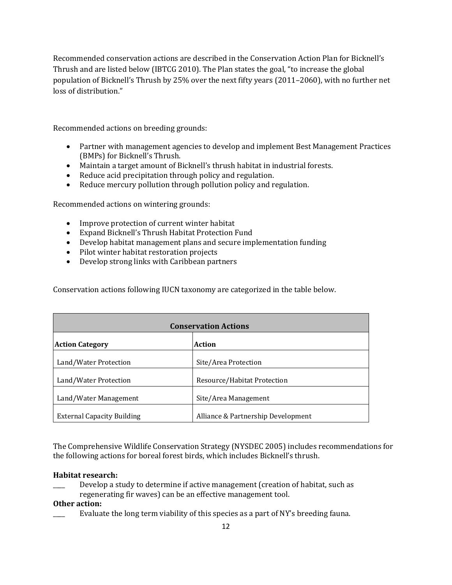Recommended conservation actions are described in the Conservation Action Plan for Bicknell's Thrush and are listed below (IBTCG 2010). The Plan states the goal, "to increase the global population of Bicknell's Thrush by 25% over the next fifty years (2011–2060), with no further net loss of distribution."

Recommended actions on breeding grounds:

- Partner with management agencies to develop and implement Best Management Practices (BMPs) for Bicknell's Thrush.
- Maintain a target amount of Bicknell's thrush habitat in industrial forests.
- Reduce acid precipitation through policy and regulation.
- Reduce mercury pollution through pollution policy and regulation.

Recommended actions on wintering grounds:

- Improve protection of current winter habitat
- Expand Bicknell's Thrush Habitat Protection Fund
- Develop habitat management plans and secure implementation funding
- Pilot winter habitat restoration projects
- Develop strong links with Caribbean partners

Conservation actions following IUCN taxonomy are categorized in the table below.

| <b>Conservation Actions</b>       |                                    |
|-----------------------------------|------------------------------------|
| <b>Action Category</b>            | Action                             |
| Land/Water Protection             | Site/Area Protection               |
| Land/Water Protection             | Resource/Habitat Protection        |
| Land/Water Management             | Site/Area Management               |
| <b>External Capacity Building</b> | Alliance & Partnership Development |

The Comprehensive Wildlife Conservation Strategy (NYSDEC 2005) includes recommendations for the following actions for boreal forest birds, which includes Bicknell's thrush.

### **Habitat research:**

- Develop a study to determine if active management (creation of habitat, such as
- regenerating fir waves) can be an effective management tool.

# **Other action:**

Evaluate the long term viability of this species as a part of NY's breeding fauna.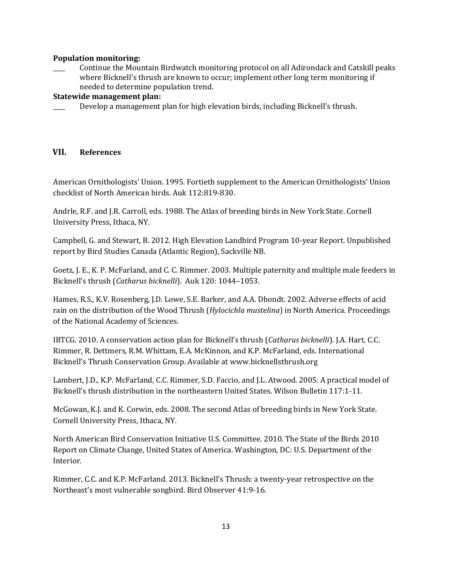### **Population monitoring:**

\_\_\_\_ Continue the Mountain Birdwatch monitoring protocol on all Adirondack and Catskill peaks where Bicknell's thrush are known to occur; implement other long term monitoring if needed to determine population trend.

### **Statewide management plan:**

Develop a management plan for high elevation birds, including Bicknell's thrush.

# **VII. References**

American Ornithologists' Union. 1995. Fortieth supplement to the American Ornithologists' Union checklist of North American birds. Auk 112:819-830.

Andrle, R.F. and J.R. Carroll, eds. 1988. The Atlas of breeding birds in New York State. Cornell University Press, Ithaca, NY.

Campbell, G. and Stewart, B. 2012. High Elevation Landbird Program 10-year Report. Unpublished report by Bird Studies Canada (Atlantic Region), Sackville NB.

Goetz, J. E., K. P. McFarland, and C. C. Rimmer. 2003. Multiple paternity and multiple male feeders in Bicknell's thrush (*Catharus bicknelli*). Auk 120: 1044–1053.

Hames, R.S., K.V. Rosenberg, J.D. Lowe, S.E. Barker, and A.A. Dhondt. 2002. Adverse effects of acid rain on the distribution of the Wood Thrush (*Hylocichla mustelina*) in North America. Proceedings of the National Academy of Sciences.

IBTCG. 2010. A conservation action plan for Bicknell's thrush (*Catharus bicknelli*). J.A. Hart, C.C. Rimmer, R. Dettmers, R.M. Whittam, E.A. McKinnon, and K.P. McFarland, eds. International Bicknell's Thrush Conservation Group. Available at www.bicknellsthrush.org

Lambert, J.D., K.P. McFarland, C.C. Rimmer, S.D. Faccio, and J.L. Atwood. 2005. A practical model of Bicknell's thrush distribution in the northeastern United States. Wilson Bulletin 117:1-11.

McGowan, K.J. and K. Corwin, eds. 2008. The second Atlas of breeding birds in New York State. Cornell University Press, Ithaca, NY.

North American Bird Conservation Initiative U.S. Committee. 2010. The State of the Birds 2010 Report on Climate Change, United States of America. Washington, DC: U.S. Department of the Interior.

Rimmer, C.C. and K.P. McFarland. 2013. Bicknell's Thrush: a twenty-year retrospective on the Northeast's most vulnerable songbird. Bird Observer 41:9-16.